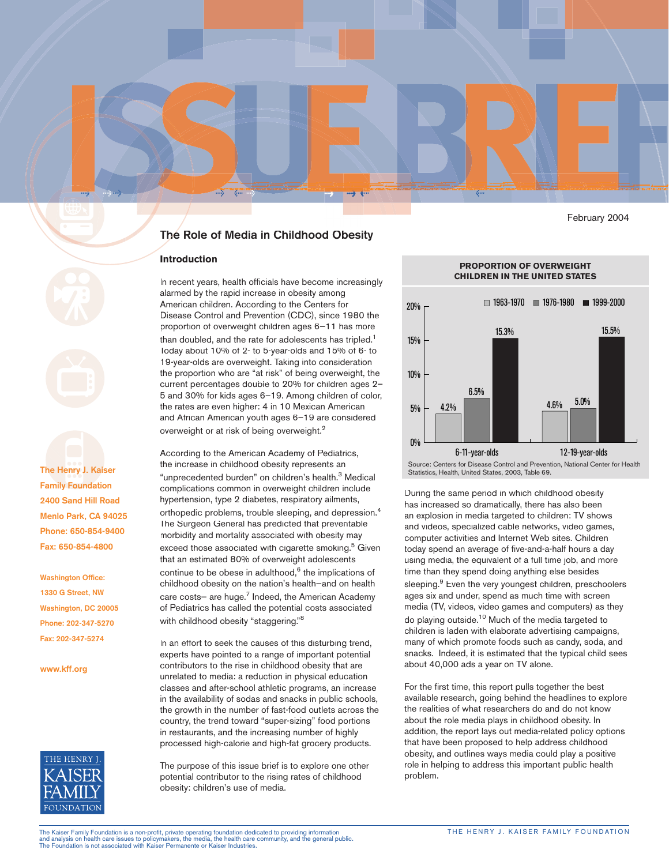February 2004

# **The Role of Media in Childhood Obesity**

# **Introduction**

In recent years, health officials have become increasingly alarmed by the rapid increase in obesity among American children. According to the Centers for Disease Control and Prevention (CDC), since 1980 the proportion of overweight children ages 6—11 has more than doubled, and the rate for adolescents has tripled.<sup>1</sup> Today about 10% of 2- to 5-year-olds and 15% of 6- to 19-year-olds are overweight. Taking into consideration the proportion who are "at risk" of being overweight, the current percentages double to 20% for children ages 2– 5 and 30% for kids ages 6–19. Among children of color, the rates are even higher: 4 in 10 Mexican American and African American youth ages 6–19 are considered overweight or at risk of being overweight.<sup>2</sup>

According to the American Academy of Pediatrics, the increase in childhood obesity represents an "unprecedented burden" on children's health.<sup>3</sup> Medical complications common in overweight children include hypertension, type 2 diabetes, respiratory ailments, orthopedic problems, trouble sleeping, and depression.<sup>4</sup> The Surgeon General has predicted that preventable morbidity and mortality associated with obesity may exceed those associated with cigarette smoking.<sup>5</sup> Given that an estimated 80% of overweight adolescents continue to be obese in adulthood,<sup>6</sup> the implications of childhood obesity on the nation's health—and on health care costs— are huge.<sup>7</sup> Indeed, the American Academy of Pediatrics has called the potential costs associated with childhood obesity "staggering."<sup>8</sup>

In an effort to seek the causes of this disturbing trend, experts have pointed to a range of important potential contributors to the rise in childhood obesity that are unrelated to media: a reduction in physical education classes and after-school athletic programs, an increase in the availability of sodas and snacks in public schools, the growth in the number of fast-food outlets across the country, the trend toward "super-sizing" food portions in restaurants, and the increasing number of highly processed high-calorie and high-fat grocery products.

The purpose of this issue brief is to explore one other potential contributor to the rising rates of childhood obesity: children's use of media.



Statistics, Health, United States, 2003, Table 69.

During the same period in which childhood obesity has increased so dramatically, there has also been an explosion in media targeted to children: TV shows and videos, specialized cable networks, video games, computer activities and Internet Web sites. Children today spend an average of five-and-a-half hours a day using media, the equivalent of a full time job, and more time than they spend doing anything else besides sleeping.<sup>9</sup> Even the very youngest children, preschoolers ages six and under, spend as much time with screen media (TV, videos, video games and computers) as they do playing outside.10 Much of the media targeted to children is laden with elaborate advertising campaigns, many of which promote foods such as candy, soda, and snacks. Indeed, it is estimated that the typical child sees about 40,000 ads a year on TV alone.

For the first time, this report pulls together the best available research, going behind the headlines to explore the realities of what researchers do and do not know about the role media plays in childhood obesity. In addition, the report lays out media-related policy options that have been proposed to help address childhood obesity, and outlines ways media could play a positive role in helping to address this important public health problem.

**The Henry J. Kaiser Family Foundation 2400 Sand Hill Road Menlo Park, CA 94025 Phone: 650-854-9400 Fax: 650-854-4800**

**Washington Office: 1330 G Street, NW Washington, DC 20005 Phone: 202-347-5270 Fax: 202-347-5274**

**www.kff.org**

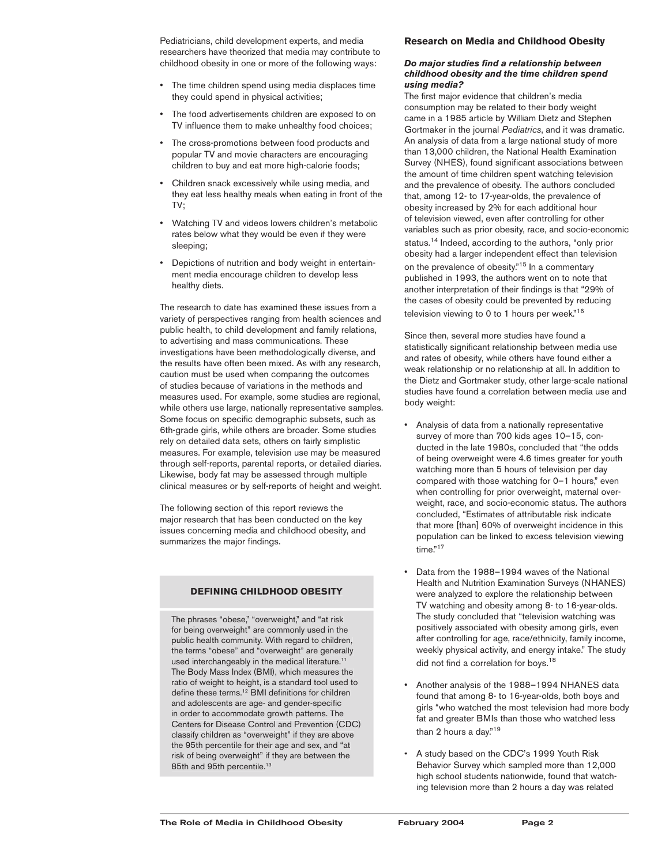Pediatricians, child development experts, and media researchers have theorized that media may contribute to childhood obesity in one or more of the following ways:

- The time children spend using media displaces time they could spend in physical activities;
- The food advertisements children are exposed to on TV influence them to make unhealthy food choices;
- The cross-promotions between food products and popular TV and movie characters are encouraging children to buy and eat more high-calorie foods;
- Children snack excessively while using media, and they eat less healthy meals when eating in front of the TV;
- Watching TV and videos lowers children's metabolic rates below what they would be even if they were sleeping;
- Depictions of nutrition and body weight in entertainment media encourage children to develop less healthy diets.

The research to date has examined these issues from a variety of perspectives ranging from health sciences and public health, to child development and family relations, to advertising and mass communications. These investigations have been methodologically diverse, and the results have often been mixed. As with any research, caution must be used when comparing the outcomes of studies because of variations in the methods and measures used. For example, some studies are regional, while others use large, nationally representative samples. Some focus on specific demographic subsets, such as 6th-grade girls, while others are broader. Some studies rely on detailed data sets, others on fairly simplistic measures. For example, television use may be measured through self-reports, parental reports, or detailed diaries. Likewise, body fat may be assessed through multiple clinical measures or by self-reports of height and weight.

The following section of this report reviews the major research that has been conducted on the key issues concerning media and childhood obesity, and summarizes the major findings.

# **DEFINING CHILDHOOD OBESITY**

The phrases "obese," "overweight," and "at risk for being overweight" are commonly used in the public health community. With regard to children, the terms "obese" and "overweight" are generally used interchangeably in the medical literature.<sup>11</sup> The Body Mass Index (BMI), which measures the ratio of weight to height, is a standard tool used to define these terms.<sup>12</sup> BMI definitions for children and adolescents are age- and gender-specific in order to accommodate growth patterns. The Centers for Disease Control and Prevention (CDC) classify children as "overweight" if they are above the 95th percentile for their age and sex, and "at risk of being overweight" if they are between the 85th and 95th percentile.<sup>13</sup>

## **Research on Media and Childhood Obesity**

## **Do major studies find a relationship between childhood obesity and the time children spend using media?**

The first major evidence that children's media consumption may be related to their body weight came in a 1985 article by William Dietz and Stephen Gortmaker in the journal Pediatrics, and it was dramatic. An analysis of data from a large national study of more than 13,000 children, the National Health Examination Survey (NHES), found significant associations between the amount of time children spent watching television and the prevalence of obesity. The authors concluded that, among 12- to 17-year-olds, the prevalence of obesity increased by 2% for each additional hour of television viewed, even after controlling for other variables such as prior obesity, race, and socio-economic status.<sup>14</sup> Indeed, according to the authors, "only prior obesity had a larger independent effect than television on the prevalence of obesity."<sup>15</sup> In a commentary published in 1993, the authors went on to note that another interpretation of their findings is that "29% of the cases of obesity could be prevented by reducing television viewing to 0 to 1 hours per week."16

Since then, several more studies have found a statistically significant relationship between media use and rates of obesity, while others have found either a weak relationship or no relationship at all. In addition to the Dietz and Gortmaker study, other large-scale national studies have found a correlation between media use and body weight:

- Analysis of data from a nationally representative survey of more than 700 kids ages 10–15, conducted in the late 1980s, concluded that "the odds of being overweight were 4.6 times greater for youth watching more than 5 hours of television per day compared with those watching for 0–1 hours," even when controlling for prior overweight, maternal overweight, race, and socio-economic status. The authors concluded, "Estimates of attributable risk indicate that more [than] 60% of overweight incidence in this population can be linked to excess television viewing time."17
- Data from the 1988-1994 waves of the National Health and Nutrition Examination Surveys (NHANES) were analyzed to explore the relationship between TV watching and obesity among 8- to 16-year-olds. The study concluded that "television watching was positively associated with obesity among girls, even after controlling for age, race/ethnicity, family income, weekly physical activity, and energy intake." The study did not find a correlation for boys.<sup>18</sup>
- Another analysis of the 1988–1994 NHANES data found that among 8- to 16-year-olds, both boys and girls "who watched the most television had more body fat and greater BMIs than those who watched less than 2 hours a day."<sup>19</sup>
- A study based on the CDC's 1999 Youth Risk Behavior Survey which sampled more than 12,000 high school students nationwide, found that watching television more than 2 hours a day was related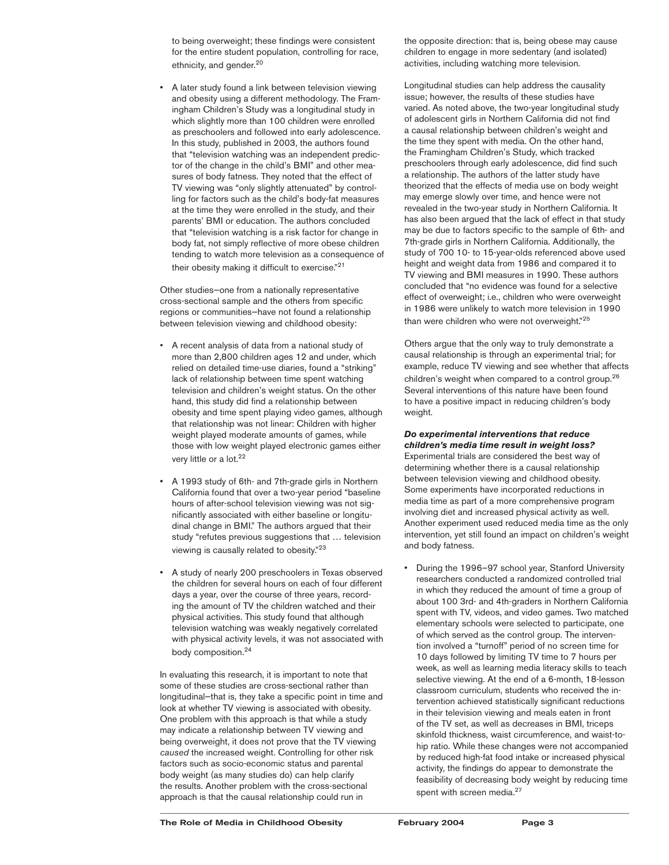to being overweight; these findings were consistent for the entire student population, controlling for race, ethnicity, and gender.<sup>20</sup>

• A later study found a link between television viewing and obesity using a different methodology. The Framingham Children's Study was a longitudinal study in which slightly more than 100 children were enrolled as preschoolers and followed into early adolescence. In this study, published in 2003, the authors found that "television watching was an independent predictor of the change in the child's BMI" and other measures of body fatness. They noted that the effect of TV viewing was "only slightly attenuated" by controlling for factors such as the child's body-fat measures at the time they were enrolled in the study, and their parents' BMI or education. The authors concluded that "television watching is a risk factor for change in body fat, not simply reflective of more obese children tending to watch more television as a consequence of their obesity making it difficult to exercise."<sup>21</sup>

Other studies—one from a nationally representative cross-sectional sample and the others from specific regions or communities—have not found a relationship between television viewing and childhood obesity:

- A recent analysis of data from a national study of more than 2,800 children ages 12 and under, which relied on detailed time-use diaries, found a "striking" lack of relationship between time spent watching television and children's weight status. On the other hand, this study did find a relationship between obesity and time spent playing video games, although that relationship was not linear: Children with higher weight played moderate amounts of games, while those with low weight played electronic games either very little or a lot.<sup>22</sup>
- A 1993 study of 6th- and 7th-grade girls in Northern California found that over a two-year period "baseline hours of after-school television viewing was not significantly associated with either baseline or longitudinal change in BMI." The authors argued that their study "refutes previous suggestions that … television viewing is causally related to obesity."<sup>23</sup>
- A study of nearly 200 preschoolers in Texas observed the children for several hours on each of four different days a year, over the course of three years, recording the amount of TV the children watched and their physical activities. This study found that although television watching was weakly negatively correlated with physical activity levels, it was not associated with body composition.24

In evaluating this research, it is important to note that some of these studies are cross-sectional rather than longitudinal-that is, they take a specific point in time and look at whether TV viewing is associated with obesity. One problem with this approach is that while a study may indicate a relationship between TV viewing and being overweight, it does not prove that the TV viewing caused the increased weight. Controlling for other risk factors such as socio-economic status and parental body weight (as many studies do) can help clarify the results. Another problem with the cross-sectional approach is that the causal relationship could run in

the opposite direction: that is, being obese may cause children to engage in more sedentary (and isolated) activities, including watching more television.

Longitudinal studies can help address the causality issue; however, the results of these studies have varied. As noted above, the two-year longitudinal study of adolescent girls in Northern California did not find a causal relationship between children's weight and the time they spent with media. On the other hand, the Framingham Children's Study, which tracked preschoolers through early adolescence, did find such a relationship. The authors of the latter study have theorized that the effects of media use on body weight may emerge slowly over time, and hence were not revealed in the two-year study in Northern California. It has also been argued that the lack of effect in that study may be due to factors specific to the sample of 6th- and 7th-grade girls in Northern California. Additionally, the study of 700 10- to 15-year-olds referenced above used height and weight data from 1986 and compared it to TV viewing and BMI measures in 1990. These authors concluded that "no evidence was found for a selective effect of overweight; i.e., children who were overweight in 1986 were unlikely to watch more television in 1990 than were children who were not overweight."<sup>25</sup>

Others argue that the only way to truly demonstrate a causal relationship is through an experimental trial; for example, reduce TV viewing and see whether that affects children's weight when compared to a control group.<sup>26</sup> Several interventions of this nature have been found to have a positive impact in reducing children's body weight.

#### **Do experimental interventions that reduce children's media time result in weight loss?**

Experimental trials are considered the best way of determining whether there is a causal relationship between television viewing and childhood obesity. Some experiments have incorporated reductions in media time as part of a more comprehensive program involving diet and increased physical activity as well. Another experiment used reduced media time as the only intervention, yet still found an impact on children's weight and body fatness.

• During the 1996–97 school year, Stanford University researchers conducted a randomized controlled trial in which they reduced the amount of time a group of about 100 3rd- and 4th-graders in Northern California spent with TV, videos, and video games. Two matched elementary schools were selected to participate, one of which served as the control group. The intervention involved a "turnoff" period of no screen time for 10 days followed by limiting TV time to 7 hours per week, as well as learning media literacy skills to teach selective viewing. At the end of a 6-month, 18-lesson classroom curriculum, students who received the intervention achieved statistically significant reductions in their television viewing and meals eaten in front of the TV set, as well as decreases in BMI, triceps skinfold thickness, waist circumference, and waist-tohip ratio. While these changes were not accompanied by reduced high-fat food intake or increased physical activity, the findings do appear to demonstrate the feasibility of decreasing body weight by reducing time spent with screen media.<sup>27</sup>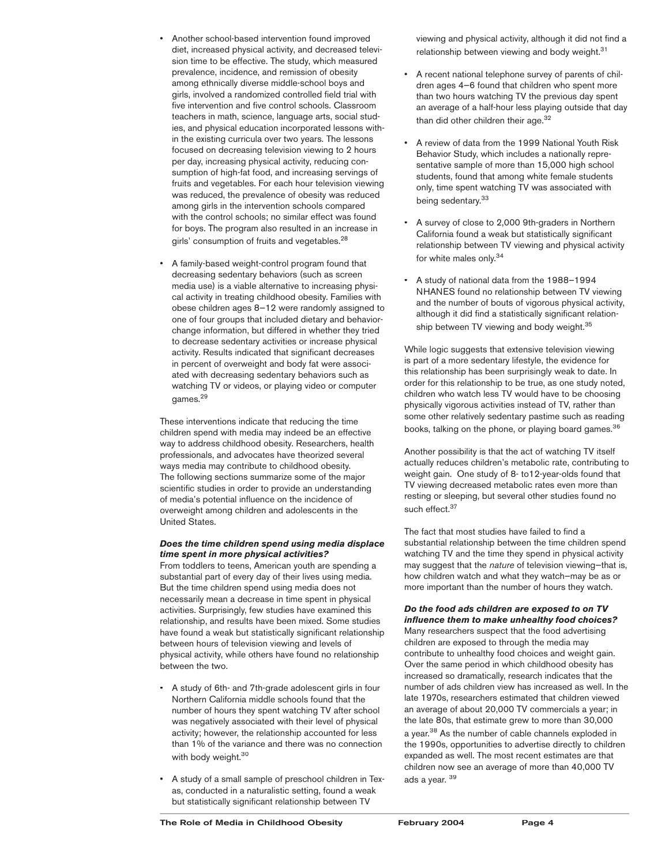- Another school-based intervention found improved diet, increased physical activity, and decreased television time to be effective. The study, which measured prevalence, incidence, and remission of obesity among ethnically diverse middle-school boys and girls, involved a randomized controlled field trial with five intervention and five control schools. Classroom teachers in math, science, language arts, social studies, and physical education incorporated lessons within the existing curricula over two years. The lessons focused on decreasing television viewing to 2 hours per day, increasing physical activity, reducing consumption of high-fat food, and increasing servings of fruits and vegetables. For each hour television viewing was reduced, the prevalence of obesity was reduced among girls in the intervention schools compared with the control schools; no similar effect was found for boys. The program also resulted in an increase in girls' consumption of fruits and vegetables.28
- A family-based weight-control program found that decreasing sedentary behaviors (such as screen media use) is a viable alternative to increasing physical activity in treating childhood obesity. Families with obese children ages 8—12 were randomly assigned to one of four groups that included dietary and behaviorchange information, but differed in whether they tried to decrease sedentary activities or increase physical activity. Results indicated that significant decreases in percent of overweight and body fat were associated with decreasing sedentary behaviors such as watching TV or videos, or playing video or computer games.<sup>29</sup>

These interventions indicate that reducing the time children spend with media may indeed be an effective way to address childhood obesity. Researchers, health professionals, and advocates have theorized several ways media may contribute to childhood obesity. The following sections summarize some of the major scientific studies in order to provide an understanding of media's potential influence on the incidence of overweight among children and adolescents in the United States.

# **Does the time children spend using media displace time spent in more physical activities?**

From toddlers to teens, American youth are spending a substantial part of every day of their lives using media. But the time children spend using media does not necessarily mean a decrease in time spent in physical activities. Surprisingly, few studies have examined this relationship, and results have been mixed. Some studies have found a weak but statistically significant relationship between hours of television viewing and levels of physical activity, while others have found no relationship between the two.

- A study of 6th- and 7th-grade adolescent girls in four Northern California middle schools found that the number of hours they spent watching TV after school was negatively associated with their level of physical activity; however, the relationship accounted for less than 1% of the variance and there was no connection with body weight.<sup>30</sup>
- A study of a small sample of preschool children in Texas, conducted in a naturalistic setting, found a weak but statistically significant relationship between TV

viewing and physical activity, although it did not find a relationship between viewing and body weight.<sup>31</sup>

- A recent national telephone survey of parents of children ages 4—6 found that children who spent more than two hours watching TV the previous day spent an average of a half-hour less playing outside that day than did other children their age.<sup>32</sup>
- A review of data from the 1999 National Youth Risk Behavior Study, which includes a nationally representative sample of more than 15,000 high school students, found that among white female students only, time spent watching TV was associated with being sedentary.<sup>33</sup>
- A survey of close to 2,000 9th-graders in Northern California found a weak but statistically significant relationship between TV viewing and physical activity for white males only.<sup>34</sup>
- A study of national data from the 1988–1994 NHANES found no relationship between TV viewing and the number of bouts of vigorous physical activity, although it did find a statistically significant relationship between TV viewing and body weight.<sup>35</sup>

While logic suggests that extensive television viewing is part of a more sedentary lifestyle, the evidence for this relationship has been surprisingly weak to date. In order for this relationship to be true, as one study noted, children who watch less TV would have to be choosing physically vigorous activities instead of TV, rather than some other relatively sedentary pastime such as reading books, talking on the phone, or playing board games.<sup>36</sup>

Another possibility is that the act of watching TV itself actually reduces children's metabolic rate, contributing to weight gain. One study of 8- to12-year-olds found that TV viewing decreased metabolic rates even more than resting or sleeping, but several other studies found no such effect.<sup>37</sup>

The fact that most studies have failed to find a substantial relationship between the time children spend watching TV and the time they spend in physical activity may suggest that the nature of television viewing—that is, how children watch and what they watch—may be as or more important than the number of hours they watch.

**Do the food ads children are exposed to on TV infl uence them to make unhealthy food choices?** Many researchers suspect that the food advertising children are exposed to through the media may contribute to unhealthy food choices and weight gain. Over the same period in which childhood obesity has increased so dramatically, research indicates that the number of ads children view has increased as well. In the late 1970s, researchers estimated that children viewed an average of about 20,000 TV commercials a year; in the late 80s, that estimate grew to more than 30,000 a year.38 As the number of cable channels exploded in the 1990s, opportunities to advertise directly to children expanded as well. The most recent estimates are that children now see an average of more than 40,000 TV ads a year. <sup>39</sup>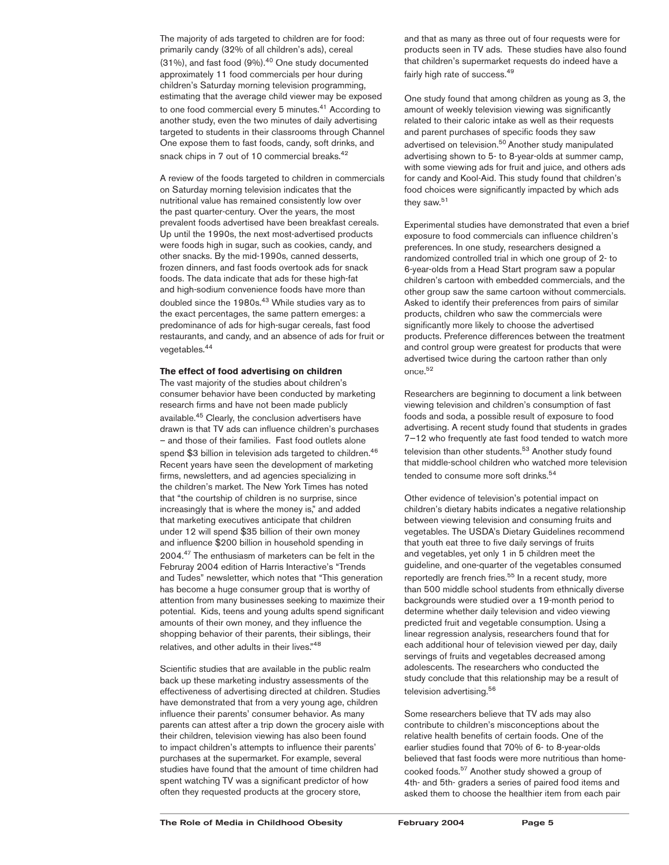The majority of ads targeted to children are for food: primarily candy (32% of all children's ads), cereal  $(31%)$ , and fast food  $(9%)$ .<sup>40</sup> One study documented approximately 11 food commercials per hour during children's Saturday morning television programming, estimating that the average child viewer may be exposed to one food commercial every 5 minutes.<sup>41</sup> According to another study, even the two minutes of daily advertising targeted to students in their classrooms through Channel One expose them to fast foods, candy, soft drinks, and snack chips in 7 out of 10 commercial breaks.<sup>42</sup>

A review of the foods targeted to children in commercials on Saturday morning television indicates that the nutritional value has remained consistently low over the past quarter-century. Over the years, the most prevalent foods advertised have been breakfast cereals. Up until the 1990s, the next most-advertised products were foods high in sugar, such as cookies, candy, and other snacks. By the mid-1990s, canned desserts, frozen dinners, and fast foods overtook ads for snack foods. The data indicate that ads for these high-fat and high-sodium convenience foods have more than doubled since the 1980s.<sup>43</sup> While studies vary as to the exact percentages, the same pattern emerges: a predominance of ads for high-sugar cereals, fast food restaurants, and candy, and an absence of ads for fruit or vegetables.44

## **The effect of food advertising on children**

The vast majority of the studies about children's consumer behavior have been conducted by marketing research firms and have not been made publicly available.45 Clearly, the conclusion advertisers have drawn is that TV ads can influence children's purchases – and those of their families. Fast food outlets alone spend \$3 billion in television ads targeted to children.<sup>46</sup> Recent years have seen the development of marketing firms, newsletters, and ad agencies specializing in the children's market. The New York Times has noted that "the courtship of children is no surprise, since increasingly that is where the money is," and added that marketing executives anticipate that children under 12 will spend \$35 billion of their own money and influence \$200 billion in household spending in 2004.<sup>47</sup> The enthusiasm of marketers can be felt in the Februray 2004 edition of Harris Interactive's "Trends and Tudes" newsletter, which notes that "This generation has become a huge consumer group that is worthy of attention from many businesses seeking to maximize their potential. Kids, teens and young adults spend significant amounts of their own money, and they influence the shopping behavior of their parents, their siblings, their relatives, and other adults in their lives."48

Scientific studies that are available in the public realm back up these marketing industry assessments of the effectiveness of advertising directed at children. Studies have demonstrated that from a very young age, children influence their parents' consumer behavior. As many parents can attest after a trip down the grocery aisle with their children, television viewing has also been found to impact children's attempts to influence their parents' purchases at the supermarket. For example, several studies have found that the amount of time children had spent watching TV was a significant predictor of how often they requested products at the grocery store,

and that as many as three out of four requests were for products seen in TV ads. These studies have also found that children's supermarket requests do indeed have a fairly high rate of success.<sup>49</sup>

One study found that among children as young as 3, the amount of weekly television viewing was significantly related to their caloric intake as well as their requests and parent purchases of specific foods they saw advertised on television.<sup>50</sup> Another study manipulated advertising shown to 5- to 8-year-olds at summer camp, with some viewing ads for fruit and juice, and others ads for candy and Kool-Aid. This study found that children's food choices were significantly impacted by which ads they saw.<sup>51</sup>

Experimental studies have demonstrated that even a brief exposure to food commercials can influence children's preferences. In one study, researchers designed a randomized controlled trial in which one group of 2- to 6-year-olds from a Head Start program saw a popular children's cartoon with embedded commercials, and the other group saw the same cartoon without commercials. Asked to identify their preferences from pairs of similar products, children who saw the commercials were significantly more likely to choose the advertised products. Preference differences between the treatment and control group were greatest for products that were advertised twice during the cartoon rather than only once.<sup>52</sup>

Researchers are beginning to document a link between viewing television and children's consumption of fast foods and soda, a possible result of exposure to food advertising. A recent study found that students in grades 7—12 who frequently ate fast food tended to watch more television than other students.<sup>53</sup> Another study found that middle-school children who watched more television tended to consume more soft drinks.<sup>54</sup>

Other evidence of television's potential impact on children's dietary habits indicates a negative relationship between viewing television and consuming fruits and vegetables. The USDA's Dietary Guidelines recommend that youth eat three to five daily servings of fruits and vegetables, yet only 1 in 5 children meet the guideline, and one-quarter of the vegetables consumed reportedly are french fries.<sup>55</sup> In a recent study, more than 500 middle school students from ethnically diverse backgrounds were studied over a 19-month period to determine whether daily television and video viewing predicted fruit and vegetable consumption. Using a linear regression analysis, researchers found that for each additional hour of television viewed per day, daily servings of fruits and vegetables decreased among adolescents. The researchers who conducted the study conclude that this relationship may be a result of television advertising.<sup>56</sup>

Some researchers believe that TV ads may also contribute to children's misconceptions about the relative health benefits of certain foods. One of the earlier studies found that 70% of 6- to 8-year-olds believed that fast foods were more nutritious than homecooked foods.57 Another study showed a group of 4th- and 5th- graders a series of paired food items and asked them to choose the healthier item from each pair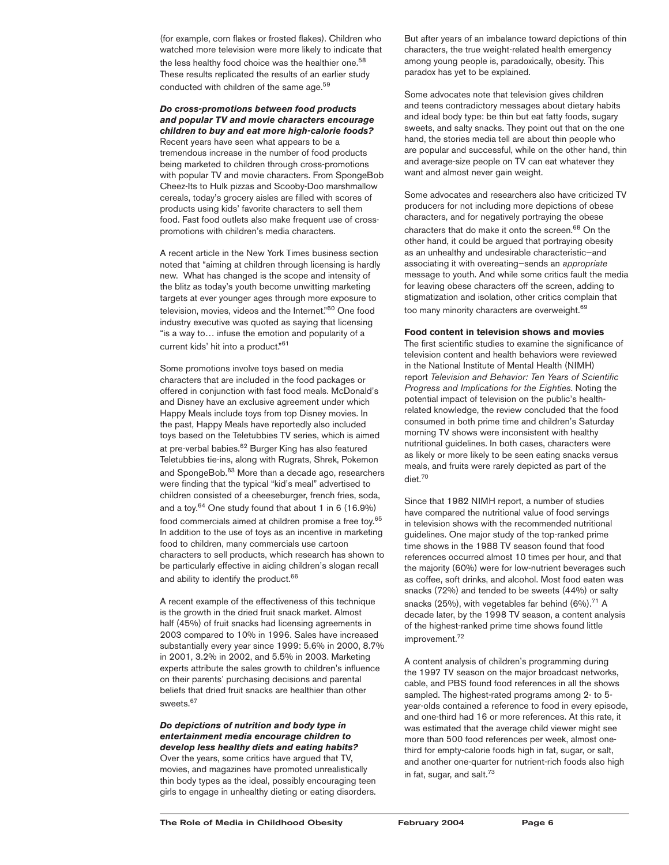(for example, corn flakes or frosted flakes). Children who watched more television were more likely to indicate that the less healthy food choice was the healthier one.<sup>58</sup> These results replicated the results of an earlier study conducted with children of the same age.<sup>59</sup>

# **Do cross-promotions between food products and popular TV and movie characters encourage children to buy and eat more high-calorie foods?**

Recent years have seen what appears to be a tremendous increase in the number of food products being marketed to children through cross-promotions with popular TV and movie characters. From SpongeBob Cheez-Its to Hulk pizzas and Scooby-Doo marshmallow cereals, today's grocery aisles are filled with scores of products using kids' favorite characters to sell them food. Fast food outlets also make frequent use of crosspromotions with children's media characters.

A recent article in the New York Times business section noted that "aiming at children through licensing is hardly new. What has changed is the scope and intensity of the blitz as today's youth become unwitting marketing targets at ever younger ages through more exposure to television, movies, videos and the Internet."<sup>60</sup> One food industry executive was quoted as saying that licensing "is a way to… infuse the emotion and popularity of a current kids' hit into a product."<sup>61</sup>

Some promotions involve toys based on media characters that are included in the food packages or offered in conjunction with fast food meals. McDonald's and Disney have an exclusive agreement under which Happy Meals include toys from top Disney movies. In the past, Happy Meals have reportedly also included toys based on the Teletubbies TV series, which is aimed at pre-verbal babies.<sup>62</sup> Burger King has also featured Teletubbies tie-ins, along with Rugrats, Shrek, Pokemon and SpongeBob.<sup>63</sup> More than a decade ago, researchers were finding that the typical "kid's meal" advertised to children consisted of a cheeseburger, french fries, soda, and a toy. $64$  One study found that about 1 in 6 (16.9%) food commercials aimed at children promise a free toy.<sup>65</sup> In addition to the use of toys as an incentive in marketing food to children, many commercials use cartoon characters to sell products, which research has shown to be particularly effective in aiding children's slogan recall and ability to identify the product.<sup>66</sup>

A recent example of the effectiveness of this technique is the growth in the dried fruit snack market. Almost half (45%) of fruit snacks had licensing agreements in 2003 compared to 10% in 1996. Sales have increased substantially every year since 1999: 5.6% in 2000, 8.7% in 2001, 3.2% in 2002, and 5.5% in 2003. Marketing experts attribute the sales growth to children's influence on their parents' purchasing decisions and parental beliefs that dried fruit snacks are healthier than other sweets.<sup>67</sup>

# **Do depictions of nutrition and body type in entertainment media encourage children to develop less healthy diets and eating habits?**

Over the years, some critics have argued that TV, movies, and magazines have promoted unrealistically thin body types as the ideal, possibly encouraging teen girls to engage in unhealthy dieting or eating disorders. But after years of an imbalance toward depictions of thin characters, the true weight-related health emergency among young people is, paradoxically, obesity. This paradox has yet to be explained.

Some advocates note that television gives children and teens contradictory messages about dietary habits and ideal body type: be thin but eat fatty foods, sugary sweets, and salty snacks. They point out that on the one hand, the stories media tell are about thin people who are popular and successful, while on the other hand, thin and average-size people on TV can eat whatever they want and almost never gain weight.

Some advocates and researchers also have criticized TV producers for not including more depictions of obese characters, and for negatively portraying the obese characters that do make it onto the screen.<sup>68</sup> On the other hand, it could be argued that portraying obesity as an unhealthy and undesirable characteristic—and associating it with overeating—sends an appropriate message to youth. And while some critics fault the media for leaving obese characters off the screen, adding to stigmatization and isolation, other critics complain that too many minority characters are overweight.<sup>69</sup>

## **Food content in television shows and movies**

The first scientific studies to examine the significance of television content and health behaviors were reviewed in the National Institute of Mental Health (NIMH) report Television and Behavior: Ten Years of Scientific Progress and Implications for the Eighties. Noting the potential impact of television on the public's healthrelated knowledge, the review concluded that the food consumed in both prime time and children's Saturday morning TV shows were inconsistent with healthy nutritional guidelines. In both cases, characters were as likely or more likely to be seen eating snacks versus meals, and fruits were rarely depicted as part of the diet.70

Since that 1982 NIMH report, a number of studies have compared the nutritional value of food servings in television shows with the recommended nutritional guidelines. One major study of the top-ranked prime time shows in the 1988 TV season found that food references occurred almost 10 times per hour, and that the majority (60%) were for low-nutrient beverages such as coffee, soft drinks, and alcohol. Most food eaten was snacks (72%) and tended to be sweets (44%) or salty snacks (25%), with vegetables far behind  $(6\%)$ .<sup>71</sup> A decade later, by the 1998 TV season, a content analysis of the highest-ranked prime time shows found little improvement.<sup>72</sup>

A content analysis of children's programming during the 1997 TV season on the major broadcast networks, cable, and PBS found food references in all the shows sampled. The highest-rated programs among 2- to 5 year-olds contained a reference to food in every episode, and one-third had 16 or more references. At this rate, it was estimated that the average child viewer might see more than 500 food references per week, almost onethird for empty-calorie foods high in fat, sugar, or salt, and another one-quarter for nutrient-rich foods also high in fat, sugar, and salt.<sup>73</sup>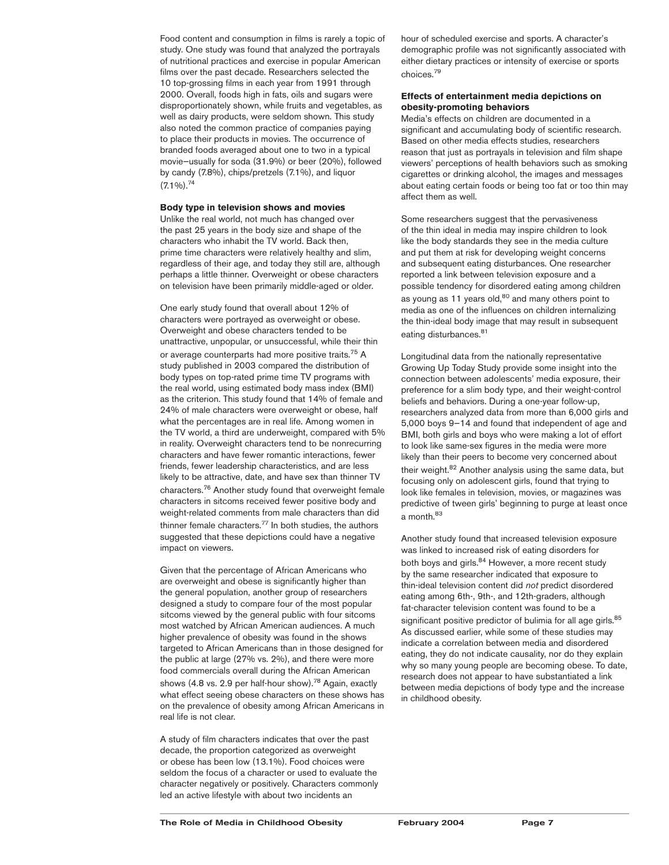Food content and consumption in films is rarely a topic of study. One study was found that analyzed the portrayals of nutritional practices and exercise in popular American films over the past decade. Researchers selected the 10 top-grossing films in each year from 1991 through 2000. Overall, foods high in fats, oils and sugars were disproportionately shown, while fruits and vegetables, as well as dairy products, were seldom shown. This study also noted the common practice of companies paying to place their products in movies. The occurrence of branded foods averaged about one to two in a typical movie—usually for soda (31.9%) or beer (20%), followed by candy (7.8%), chips/pretzels (7.1%), and liquor  $(7.1\%)$ .<sup>74</sup>

#### **Body type in television shows and movies**

Unlike the real world, not much has changed over the past 25 years in the body size and shape of the characters who inhabit the TV world. Back then, prime time characters were relatively healthy and slim, regardless of their age, and today they still are, although perhaps a little thinner. Overweight or obese characters on television have been primarily middle-aged or older.

One early study found that overall about 12% of characters were portrayed as overweight or obese. Overweight and obese characters tended to be unattractive, unpopular, or unsuccessful, while their thin or average counterparts had more positive traits.<sup>75</sup> A study published in 2003 compared the distribution of body types on top-rated prime time TV programs with the real world, using estimated body mass index (BMI) as the criterion. This study found that 14% of female and 24% of male characters were overweight or obese, half what the percentages are in real life. Among women in the TV world, a third are underweight, compared with 5% in reality. Overweight characters tend to be nonrecurring characters and have fewer romantic interactions, fewer friends, fewer leadership characteristics, and are less likely to be attractive, date, and have sex than thinner TV characters.<sup>76</sup> Another study found that overweight female characters in sitcoms received fewer positive body and weight-related comments from male characters than did thinner female characters.<sup>77</sup> In both studies, the authors suggested that these depictions could have a negative impact on viewers.

Given that the percentage of African Americans who are overweight and obese is significantly higher than the general population, another group of researchers designed a study to compare four of the most popular sitcoms viewed by the general public with four sitcoms most watched by African American audiences. A much higher prevalence of obesity was found in the shows targeted to African Americans than in those designed for the public at large (27% vs. 2%), and there were more food commercials overall during the African American shows (4.8 vs. 2.9 per half-hour show).<sup>78</sup> Again, exactly what effect seeing obese characters on these shows has on the prevalence of obesity among African Americans in real life is not clear.

A study of film characters indicates that over the past decade, the proportion categorized as overweight or obese has been low (13.1%). Food choices were seldom the focus of a character or used to evaluate the character negatively or positively. Characters commonly led an active lifestyle with about two incidents an

hour of scheduled exercise and sports. A character's demographic profile was not significantly associated with either dietary practices or intensity of exercise or sports choices.<sup>79</sup>

## **Effects of entertainment media depictions on obesity-promoting behaviors**

Media's effects on children are documented in a significant and accumulating body of scientific research. Based on other media effects studies, researchers reason that just as portrayals in television and film shape viewers' perceptions of health behaviors such as smoking cigarettes or drinking alcohol, the images and messages about eating certain foods or being too fat or too thin may affect them as well.

Some researchers suggest that the pervasiveness of the thin ideal in media may inspire children to look like the body standards they see in the media culture and put them at risk for developing weight concerns and subsequent eating disturbances. One researcher reported a link between television exposure and a possible tendency for disordered eating among children as young as 11 years old, $80$  and many others point to media as one of the influences on children internalizing the thin-ideal body image that may result in subsequent eating disturbances.<sup>81</sup>

Longitudinal data from the nationally representative Growing Up Today Study provide some insight into the connection between adolescents' media exposure, their preference for a slim body type, and their weight-control beliefs and behaviors. During a one-year follow-up, researchers analyzed data from more than 6,000 girls and 5,000 boys 9—14 and found that independent of age and BMI, both girls and boys who were making a lot of effort to look like same-sex figures in the media were more likely than their peers to become very concerned about their weight.<sup>82</sup> Another analysis using the same data, but focusing only on adolescent girls, found that trying to look like females in television, movies, or magazines was predictive of tween girls' beginning to purge at least once a month.<sup>83</sup>

Another study found that increased television exposure was linked to increased risk of eating disorders for both boys and girls.<sup>84</sup> However, a more recent study by the same researcher indicated that exposure to thin-ideal television content did not predict disordered eating among 6th-, 9th-, and 12th-graders, although fat-character television content was found to be a significant positive predictor of bulimia for all age girls.<sup>85</sup> As discussed earlier, while some of these studies may indicate a correlation between media and disordered eating, they do not indicate causality, nor do they explain why so many young people are becoming obese. To date, research does not appear to have substantiated a link between media depictions of body type and the increase in childhood obesity.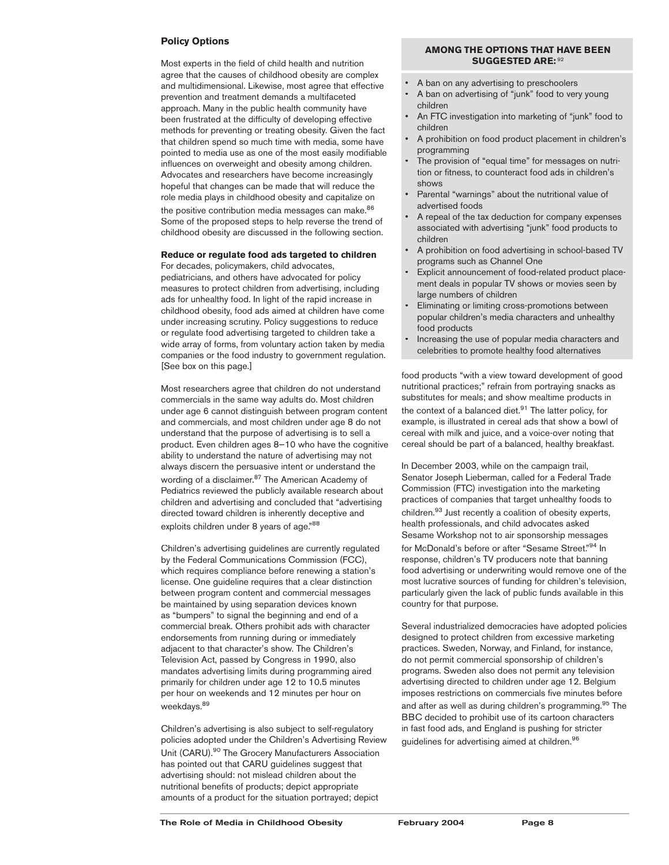# **Policy Options**

Most experts in the field of child health and nutrition agree that the causes of childhood obesity are complex and multidimensional. Likewise, most agree that effective prevention and treatment demands a multifaceted approach. Many in the public health community have been frustrated at the difficulty of developing effective methods for preventing or treating obesity. Given the fact that children spend so much time with media, some have pointed to media use as one of the most easily modifiable influences on overweight and obesity among children. Advocates and researchers have become increasingly hopeful that changes can be made that will reduce the role media plays in childhood obesity and capitalize on the positive contribution media messages can make.<sup>86</sup> Some of the proposed steps to help reverse the trend of childhood obesity are discussed in the following section.

## **Reduce or regulate food ads targeted to children**

For decades, policymakers, child advocates, pediatricians, and others have advocated for policy measures to protect children from advertising, including ads for unhealthy food. In light of the rapid increase in childhood obesity, food ads aimed at children have come under increasing scrutiny. Policy suggestions to reduce or regulate food advertising targeted to children take a wide array of forms, from voluntary action taken by media companies or the food industry to government regulation. [See box on this page.]

Most researchers agree that children do not understand commercials in the same way adults do. Most children under age 6 cannot distinguish between program content and commercials, and most children under age 8 do not understand that the purpose of advertising is to sell a product. Even children ages 8—10 who have the cognitive ability to understand the nature of advertising may not always discern the persuasive intent or understand the wording of a disclaimer.<sup>87</sup> The American Academy of Pediatrics reviewed the publicly available research about children and advertising and concluded that "advertising directed toward children is inherently deceptive and exploits children under 8 years of age."88

Children's advertising guidelines are currently regulated by the Federal Communications Commission (FCC), which requires compliance before renewing a station's license. One guideline requires that a clear distinction between program content and commercial messages be maintained by using separation devices known as "bumpers" to signal the beginning and end of a commercial break. Others prohibit ads with character endorsements from running during or immediately adjacent to that character's show. The Children's Television Act, passed by Congress in 1990, also mandates advertising limits during programming aired primarily for children under age 12 to 10.5 minutes per hour on weekends and 12 minutes per hour on weekdays.89

Children's advertising is also subject to self-regulatory policies adopted under the Children's Advertising Review Unit (CARU).<sup>90</sup> The Grocery Manufacturers Association has pointed out that CARU guidelines suggest that advertising should: not mislead children about the nutritional benefits of products; depict appropriate amounts of a product for the situation portrayed; depict

# **AMONG THE OPTIONS THAT HAVE BEEN SUGGESTED ARE:** <sup>92</sup>

- A ban on any advertising to preschoolers
- A ban on advertising of "junk" food to very young children
- An FTC investigation into marketing of "junk" food to children
- A prohibition on food product placement in children's programming
- The provision of "equal time" for messages on nutrition or fitness, to counteract food ads in children's shows
- Parental "warnings" about the nutritional value of advertised foods
- A repeal of the tax deduction for company expenses associated with advertising "junk" food products to children
- A prohibition on food advertising in school-based TV programs such as Channel One
- Explicit announcement of food-related product placement deals in popular TV shows or movies seen by large numbers of children
- Eliminating or limiting cross-promotions between popular children's media characters and unhealthy food products
- Increasing the use of popular media characters and celebrities to promote healthy food alternatives

food products "with a view toward development of good nutritional practices;" refrain from portraying snacks as substitutes for meals; and show mealtime products in the context of a balanced diet. $91$  The latter policy, for example, is illustrated in cereal ads that show a bowl of cereal with milk and juice, and a voice-over noting that cereal should be part of a balanced, healthy breakfast.

In December 2003, while on the campaign trail, Senator Joseph Lieberman, called for a Federal Trade Commission (FTC) investigation into the marketing practices of companies that target unhealthy foods to children.93 Just recently a coalition of obesity experts, health professionals, and child advocates asked Sesame Workshop not to air sponsorship messages for McDonald's before or after "Sesame Street."<sup>94</sup> In response, children's TV producers note that banning food advertising or underwriting would remove one of the most lucrative sources of funding for children's television, particularly given the lack of public funds available in this country for that purpose.

Several industrialized democracies have adopted policies designed to protect children from excessive marketing practices. Sweden, Norway, and Finland, for instance, do not permit commercial sponsorship of children's programs. Sweden also does not permit any television advertising directed to children under age 12. Belgium imposes restrictions on commercials five minutes before and after as well as during children's programming.<sup>95</sup> The BBC decided to prohibit use of its cartoon characters in fast food ads, and England is pushing for stricter guidelines for advertising aimed at children.96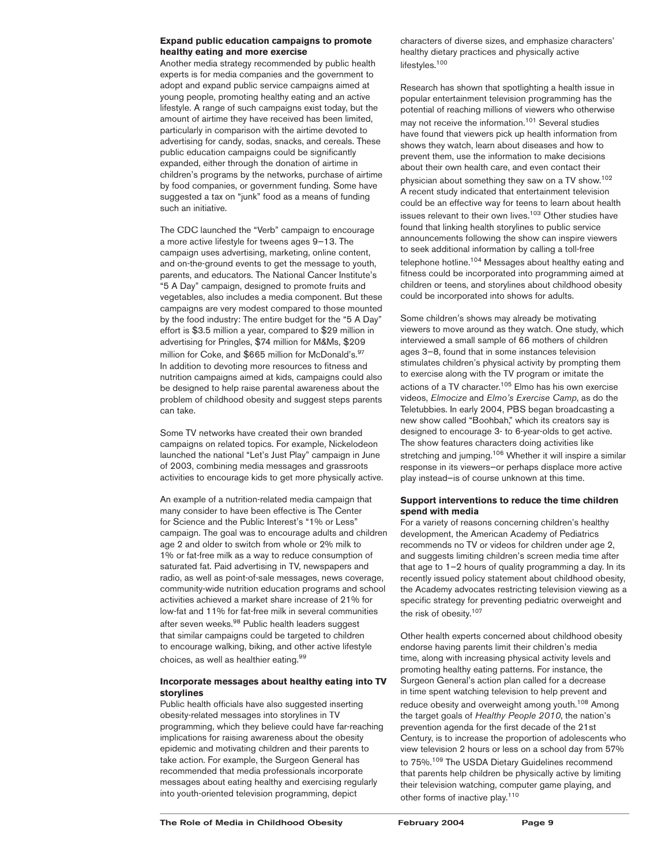# **Expand public education campaigns to promote healthy eating and more exercise**

Another media strategy recommended by public health experts is for media companies and the government to adopt and expand public service campaigns aimed at young people, promoting healthy eating and an active lifestyle. A range of such campaigns exist today, but the amount of airtime they have received has been limited, particularly in comparison with the airtime devoted to advertising for candy, sodas, snacks, and cereals. These public education campaigns could be significantly expanded, either through the donation of airtime in children's programs by the networks, purchase of airtime by food companies, or government funding. Some have suggested a tax on "junk" food as a means of funding such an initiative.

The CDC launched the "Verb" campaign to encourage a more active lifestyle for tweens ages 9—13. The campaign uses advertising, marketing, online content, and on-the-ground events to get the message to youth, parents, and educators. The National Cancer Institute's "5 A Day" campaign, designed to promote fruits and vegetables, also includes a media component. But these campaigns are very modest compared to those mounted by the food industry: The entire budget for the "5 A Day" effort is \$3.5 million a year, compared to \$29 million in advertising for Pringles, \$74 million for M&Ms, \$209 million for Coke, and \$665 million for McDonald's.<sup>97</sup> In addition to devoting more resources to fitness and nutrition campaigns aimed at kids, campaigns could also be designed to help raise parental awareness about the problem of childhood obesity and suggest steps parents can take.

Some TV networks have created their own branded campaigns on related topics. For example, Nickelodeon launched the national "Let's Just Play" campaign in June of 2003, combining media messages and grassroots activities to encourage kids to get more physically active.

An example of a nutrition-related media campaign that many consider to have been effective is The Center for Science and the Public Interest's "1% or Less" campaign. The goal was to encourage adults and children age 2 and older to switch from whole or 2% milk to 1% or fat-free milk as a way to reduce consumption of saturated fat. Paid advertising in TV, newspapers and radio, as well as point-of-sale messages, news coverage, community-wide nutrition education programs and school activities achieved a market share increase of 21% for low-fat and 11% for fat-free milk in several communities after seven weeks.<sup>98</sup> Public health leaders suggest that similar campaigns could be targeted to children to encourage walking, biking, and other active lifestyle choices, as well as healthier eating.<sup>99</sup>

# **Incorporate messages about healthy eating into TV storylines**

Public health officials have also suggested inserting obesity-related messages into storylines in TV programming, which they believe could have far-reaching implications for raising awareness about the obesity epidemic and motivating children and their parents to take action. For example, the Surgeon General has recommended that media professionals incorporate messages about eating healthy and exercising regularly into youth-oriented television programming, depict

characters of diverse sizes, and emphasize characters' healthy dietary practices and physically active lifestyles.<sup>100</sup>

Research has shown that spotlighting a health issue in popular entertainment television programming has the potential of reaching millions of viewers who otherwise may not receive the information.<sup>101</sup> Several studies have found that viewers pick up health information from shows they watch, learn about diseases and how to prevent them, use the information to make decisions about their own health care, and even contact their physician about something they saw on a TV show.<sup>102</sup> A recent study indicated that entertainment television could be an effective way for teens to learn about health issues relevant to their own lives.<sup>103</sup> Other studies have found that linking health storylines to public service announcements following the show can inspire viewers to seek additional information by calling a toll-free telephone hotline.<sup>104</sup> Messages about healthy eating and fitness could be incorporated into programming aimed at children or teens, and storylines about childhood obesity could be incorporated into shows for adults.

Some children's shows may already be motivating viewers to move around as they watch. One study, which interviewed a small sample of 66 mothers of children ages 3—8, found that in some instances television stimulates children's physical activity by prompting them to exercise along with the TV program or imitate the actions of a TV character.<sup>105</sup> Elmo has his own exercise videos, Elmocize and Elmo's Exercise Camp, as do the Teletubbies. In early 2004, PBS began broadcasting a new show called "Boohbah," which its creators say is designed to encourage 3- to 6-year-olds to get active. The show features characters doing activities like stretching and jumping.<sup>106</sup> Whether it will inspire a similar response in its viewers—or perhaps displace more active play instead—is of course unknown at this time.

# **Support interventions to reduce the time children spend with media**

For a variety of reasons concerning children's healthy development, the American Academy of Pediatrics recommends no TV or videos for children under age 2, and suggests limiting children's screen media time after that age to 1–2 hours of quality programming a day. In its recently issued policy statement about childhood obesity, the Academy advocates restricting television viewing as a specific strategy for preventing pediatric overweight and the risk of obesity.<sup>107</sup>

Other health experts concerned about childhood obesity endorse having parents limit their children's media time, along with increasing physical activity levels and promoting healthy eating patterns. For instance, the Surgeon General's action plan called for a decrease in time spent watching television to help prevent and reduce obesity and overweight among youth.<sup>108</sup> Among the target goals of Healthy People 2010, the nation's prevention agenda for the first decade of the 21st Century, is to increase the proportion of adolescents who view television 2 hours or less on a school day from 57% to 75%.<sup>109</sup> The USDA Dietary Guidelines recommend that parents help children be physically active by limiting their television watching, computer game playing, and other forms of inactive play.<sup>110</sup>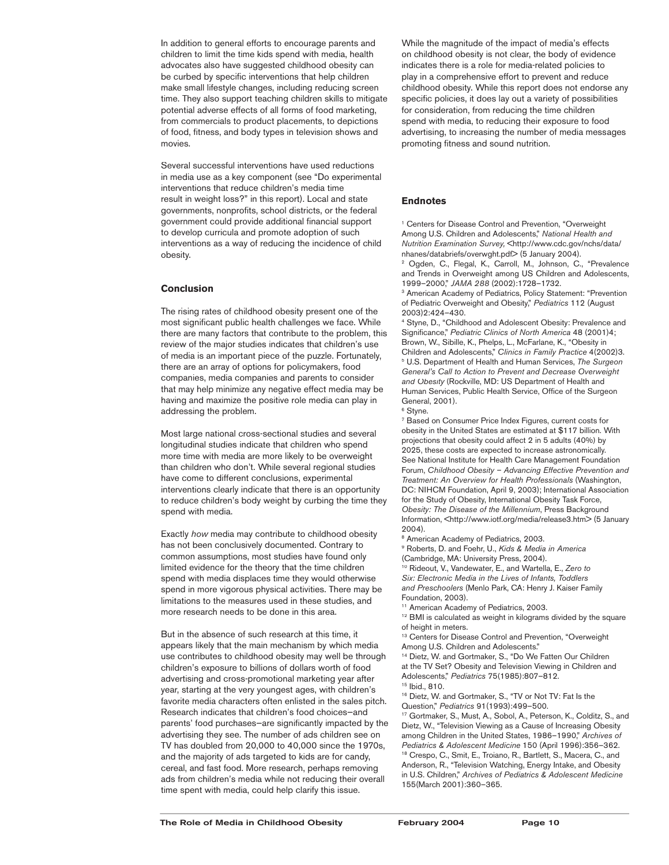In addition to general efforts to encourage parents and children to limit the time kids spend with media, health advocates also have suggested childhood obesity can be curbed by specific interventions that help children make small lifestyle changes, including reducing screen time. They also support teaching children skills to mitigate potential adverse effects of all forms of food marketing, from commercials to product placements, to depictions of food, fitness, and body types in television shows and movies.

Several successful interventions have used reductions in media use as a key component (see "Do experimental interventions that reduce children's media time result in weight loss?" in this report). Local and state governments, nonprofits, school districts, or the federal government could provide additional financial support to develop curricula and promote adoption of such interventions as a way of reducing the incidence of child obesity.

# **Conclusion**

The rising rates of childhood obesity present one of the most significant public health challenges we face. While there are many factors that contribute to the problem, this review of the major studies indicates that children's use of media is an important piece of the puzzle. Fortunately, there are an array of options for policymakers, food companies, media companies and parents to consider that may help minimize any negative effect media may be having and maximize the positive role media can play in addressing the problem.

Most large national cross-sectional studies and several longitudinal studies indicate that children who spend more time with media are more likely to be overweight than children who don't. While several regional studies have come to different conclusions, experimental interventions clearly indicate that there is an opportunity to reduce children's body weight by curbing the time they spend with media.

Exactly how media may contribute to childhood obesity has not been conclusively documented. Contrary to common assumptions, most studies have found only limited evidence for the theory that the time children spend with media displaces time they would otherwise spend in more vigorous physical activities. There may be limitations to the measures used in these studies, and more research needs to be done in this area.

But in the absence of such research at this time, it appears likely that the main mechanism by which media use contributes to childhood obesity may well be through children's exposure to billions of dollars worth of food advertising and cross-promotional marketing year after year, starting at the very youngest ages, with children's favorite media characters often enlisted in the sales pitch. Research indicates that children's food choices—and parents' food purchases-are significantly impacted by the advertising they see. The number of ads children see on TV has doubled from 20,000 to 40,000 since the 1970s, and the majority of ads targeted to kids are for candy, cereal, and fast food. More research, perhaps removing ads from children's media while not reducing their overall time spent with media, could help clarify this issue.

While the magnitude of the impact of media's effects on childhood obesity is not clear, the body of evidence indicates there is a role for media-related policies to play in a comprehensive effort to prevent and reduce childhood obesity. While this report does not endorse any specific policies, it does lay out a variety of possibilities for consideration, from reducing the time children spend with media, to reducing their exposure to food advertising, to increasing the number of media messages promoting fitness and sound nutrition.

## **Endnotes**

<sup>1</sup> Centers for Disease Control and Prevention, "Overweight Among U.S. Children and Adolescents," National Health and Nutrition Examination Survey, <http://www.cdc.gov/nchs/data/ nhanes/databriefs/overwght.pdf> (5 January 2004).

2 Ogden, C., Flegal, K., Carroll, M., Johnson, C., "Prevalence and Trends in Overweight among US Children and Adolescents, 1999–2000," JAMA 288 (2002):1728–1732.

<sup>3</sup> American Academy of Pediatrics, Policy Statement: "Prevention of Pediatric Overweight and Obesity," Pediatrics 112 (August 2003)2:424–430.

4 Styne, D., "Childhood and Adolescent Obesity: Prevalence and Significance," Pediatric Clinics of North America 48 (2001)4; Brown, W., Sibille, K., Phelps, L., McFarlane, K., "Obesity in<br>Children and Adolescents," Clinics in Family Practice 4(2002)3. <sup>5</sup> U.S. Department of Health and Human Services, The Surgeon General's Call to Action to Prevent and Decrease Overweight and Obesity (Rockville, MD: US Department of Health and Human Services, Public Health Service, Office of the Surgeon General, 2001).

6 Styne.

7 Based on Consumer Price Index Figures, current costs for obesity in the United States are estimated at \$117 billion. With projections that obesity could affect 2 in 5 adults (40%) by 2025, these costs are expected to increase astronomically. See National Institute for Health Care Management Foundation Forum, Childhood Obesity – Advancing Effective Prevention and Treatment: An Overview for Health Professionals (Washington, DC: NIHCM Foundation, April 9, 2003); International Association for the Study of Obesity, International Obesity Task Force, Obesity: The Disease of the Millennium, Press Background Information, <http://www.iotf.org/media/release3.htm> (5 January 2004).

8 American Academy of Pediatrics, 2003.

<sup>9</sup> Roberts, D. and Foehr, U., Kids & Media in America (Cambridge, MA: University Press, 2004).

10 Rideout, V., Vandewater, E., and Wartella, E., Zero to Six: Electronic Media in the Lives of Infants, Toddlers and Preschoolers (Menlo Park, CA: Henry J. Kaiser Family Foundation, 2003).

<sup>11</sup> American Academy of Pediatrics, 2003.

<sup>12</sup> BMI is calculated as weight in kilograms divided by the square of height in meters.

<sup>13</sup> Centers for Disease Control and Prevention, "Overweight Among U.S. Children and Adolescents."

14 Dietz, W. and Gortmaker, S., "Do We Fatten Our Children at the TV Set? Obesity and Television Viewing in Children and Adolescents," Pediatrics 75(1985):807–812.

15 Ibid., 810.

16 Dietz, W. and Gortmaker, S., "TV or Not TV: Fat Is the Question," Pediatrics 91(1993):499–500.

17 Gortmaker, S., Must, A., Sobol, A., Peterson, K., Colditz, S., and Dietz, W., "Television Viewing as a Cause of Increasing Obesity among Children in the United States, 1986–1990," Archives of Pediatrics & Adolescent Medicine 150 (April 1996):356-362.<br><sup>18</sup> Crespo, C., Smit, E., Troiano, R., Bartlett, S., Macera, C., and Anderson, R., "Television Watching, Energy Intake, and Obesity in U.S. Children," Archives of Pediatrics & Adolescent Medicine 155(March 2001):360–365.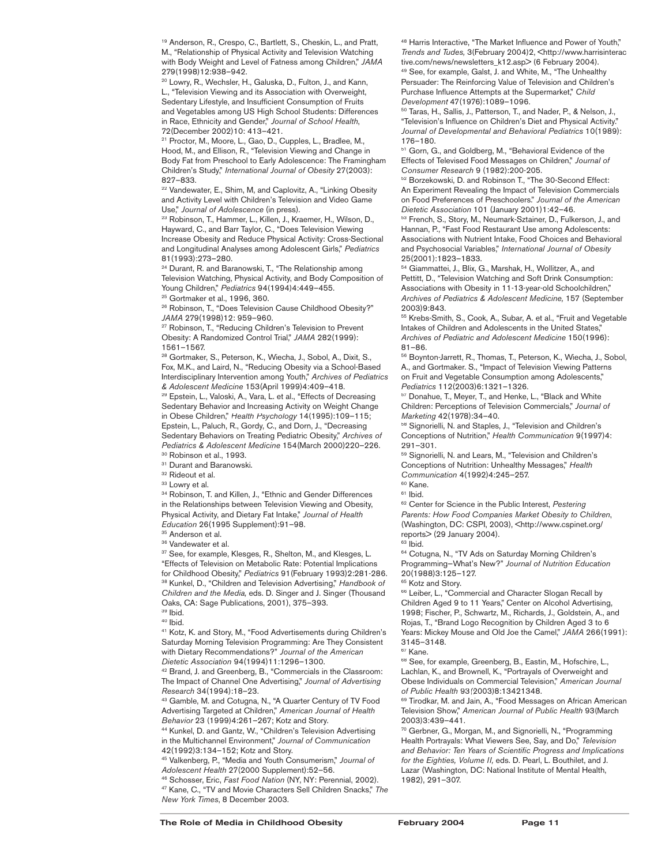19 Anderson, R., Crespo, C., Bartlett, S., Cheskin, L., and Pratt, M., "Relationship of Physical Activity and Television Watching with Body Weight and Level of Fatness among Children," JAMA 279(1998)12:938–942.

20 Lowry, R., Wechsler, H., Galuska, D., Fulton, J., and Kann, L., "Television Viewing and its Association with Overweight, Sedentary Lifestyle, and Insufficient Consumption of Fruits and Vegetables among US High School Students: Differences in Race, Ethnicity and Gender," Journal of School Health, 72(December 2002)10: 413–421.

<sup>21</sup> Proctor, M., Moore, L., Gao, D., Cupples, L., Bradlee, M., Hood, M., and Ellison, R., "Television Viewing and Change in Body Fat from Preschool to Early Adolescence: The Framingham Children's Study," International Journal of Obesity 27(2003): 827–833.

<sup>22</sup> Vandewater, E., Shim, M, and Caplovitz, A., "Linking Obesity and Activity Level with Children's Television and Video Game Use," Journal of Adolescence (in press).

23 Robinson, T., Hammer, L., Killen, J., Kraemer, H., Wilson, D., Hayward, C., and Barr Taylor, C., "Does Television Viewing Increase Obesity and Reduce Physical Activity: Cross-Sectional and Longitudinal Analyses among Adolescent Girls," Pediatrics 81(1993):273–280.

<sup>24</sup> Durant, R. and Baranowski, T., "The Relationship among Television Watching, Physical Activity, and Body Composition of Young Children," Pediatrics 94(1994)4:449–455. 25 Gortmaker et al., 1996, 360.

<sup>26</sup> Robinson, T., "Does Television Cause Childhood Obesity?" JAMA 279(1998)12: 959–960.

<sup>27</sup> Robinson, T., "Reducing Children's Television to Prevent Obesity: A Randomized Control Trial," JAMA 282(1999): 1561–1567.

28 Gortmaker, S., Peterson, K., Wiecha, J., Sobol, A., Dixit, S., Fox, M.K., and Laird, N., "Reducing Obesity via a School-Based Interdisciplinary Intervention among Youth," Archives of Pediatrics & Adolescent Medicine 153(April 1999)4:409–418.

<sup>29</sup> Epstein, L., Valoski, A., Vara, L. et al., "Effects of Decreasing Sedentary Behavior and Increasing Activity on Weight Change in Obese Children," Health Psychology 14(1995):109-115; Epstein, L., Paluch, R., Gordy, C., and Dorn, J., "Decreasing Sedentary Behaviors on Treating Pediatric Obesity," Archives of Pediatrics & Adolescent Medicine 154(March 2000)220–226. <sup>30</sup> Robinson et al., 1993.

<sup>31</sup> Durant and Baranowski.

<sup>32</sup> Rideout et al.

<sup>33</sup> Lowry et al.

<sup>34</sup> Robinson, T. and Killen, J., "Ethnic and Gender Differences in the Relationships between Television Viewing and Obesity, Physical Activity, and Dietary Fat Intake," Journal of Health Education 26(1995 Supplement):91–98.

<sup>35</sup> Anderson et al.

36 Vandewater et al.

<sup>37</sup> See, for example, Klesges, R., Shelton, M., and Klesges, L. "Effects of Television on Metabolic Rate: Potential Implications for Childhood Obesity," Pediatrics 91(February 1993)2:281-286. 38 Kunkel, D., "Children and Television Advertising," Handbook of Children and the Media, eds. D. Singer and J. Singer (Thousand Oaks, CA: Sage Publications, 2001), 375–393.

39 Ibid.

40 Ibid.

41 Kotz, K. and Story, M., "Food Advertisements during Children's Saturday Morning Television Programming: Are They Consistent with Dietary Recommendations?" Journal of the American Dietetic Association 94(1994)11:1296–1300.

42 Brand, J. and Greenberg, B., "Commercials in the Classroom: The Impact of Channel One Advertising," Journal of Advertising Research 34(1994):18–23.<br><sup>43</sup> Gamble, M. and Cotugna, N., "A Quarter Century of TV Food

Advertising Targeted at Children," American Journal of Health Behavior 23 (1999)4:261-267; Kotz and Story.<br><sup>44</sup> Kunkel, D. and Gantz, W., "Children's Television Advertising

in the Multichannel Environment," Journal of Communication 42(1992)3:134–152; Kotz and Story.

<sup>45</sup> Valkenberg, P., "Media and Youth Consumerism," Journal of Adolescent Health 27(2000 Supplement):52–56.

46 Schosser, Eric, Fast Food Nation (NY, NY: Perennial, 2002).

47 Kane, C., "TV and Movie Characters Sell Children Snacks," The New York Times, 8 December 2003.

<sup>48</sup> Harris Interactive, "The Market Influence and Power of Youth," Trends and Tudes, 3(February 2004)2, <http://www.harrisinterac tive.com/news/newsletters\_k12.asp> (6 February 2004).

49 See, for example, Galst, J. and White, M., "The Unhealthy Persuader: The Reinforcing Value of Television and Children's Purchase Influence Attempts at the Supermarket," Child Development 47(1976):1089-1096.

50 Taras, H., Sallis, J., Patterson, T., and Nader, P., & Nelson, J., "Television's Influence on Children's Diet and Physical Activity." Journal of Developmental and Behavioral Pediatrics 10(1989): 176–180.

51 Gorn, G., and Goldberg, M., "Behavioral Evidence of the Effects of Televised Food Messages on Children," Journal of Consumer Research 9 (1982):200-205.

52 Borzekowski, D. and Robinson T., "The 30-Second Effect: An Experiment Revealing the Impact of Television Commercials on Food Preferences of Preschoolers." Journal of the American Dietetic Association 101 (January 2001)1:42–46.

53 French, S., Story, M., Neumark-Sztainer, D., Fulkerson, J., and Hannan, P., "Fast Food Restaurant Use among Adolescents: Associations with Nutrient Intake, Food Choices and Behavioral and Psychosocial Variables," International Journal of Obesity 25(2001):1823–1833.

54 Giammattei, J., Blix, G., Marshak, H., Wollitzer, A., and Pettitt, D., "Television Watching and Soft Drink Consumption: Associations with Obesity in 11-13-year-old Schoolchildren," Archives of Pediatrics & Adolescent Medicine, 157 (September 2003)9:843.

55 Krebs-Smith, S., Cook, A., Subar, A. et al., "Fruit and Vegetable Intakes of Children and Adolescents in the United States," Archives of Pediatric and Adolescent Medicine 150(1996): 81–86.

56 Boynton-Jarrett, R., Thomas, T., Peterson, K., Wiecha, J., Sobol, A., and Gortmaker. S., "Impact of Television Viewing Patterns on Fruit and Vegetable Consumption among Adolescents," Pediatrics 112(2003)6:1321–1326.

57 Donahue, T., Meyer, T., and Henke, L., "Black and White Children: Perceptions of Television Commercials," Journal of Marketing 42(1978):34–40.

58 Signorielli, N. and Staples, J., "Television and Children's Conceptions of Nutrition," Health Communication 9(1997)4: 291–301.

<sup>59</sup> Signorielli, N. and Lears, M., "Television and Children's Conceptions of Nutrition: Unhealthy Messages," Health Communication 4(1992)4:245–257.

60 Kane.

61 Ibid.

<sup>62</sup> Center for Science in the Public Interest, Pestering Parents: How Food Companies Market Obesity to Children, (Washington, DC: CSPI, 2003), <http://www.cspinet.org/ reports> (29 January 2004).

 $63$  Ibid.

64 Cotugna, N., "TV Ads on Saturday Morning Children's Programming—What's New?" Journal of Nutrition Education 20(1988)3:125–127.

<sup>65</sup> Kotz and Story.

<sup>66</sup> Leiber, L., "Commercial and Character Slogan Recall by Children Aged 9 to 11 Years," Center on Alcohol Advertising, 1998; Fischer, P., Schwartz, M., Richards, J., Goldstein, A., and Rojas, T., "Brand Logo Recognition by Children Aged 3 to 6 Years: Mickey Mouse and Old Joe the Camel," JAMA 266(1991): 3145–3148.

67 Kane.

68 See, for example, Greenberg, B., Eastin, M., Hofschire, L., Lachlan, K., and Brownell, K., "Portrayals of Overweight and Obese Individuals on Commercial Television," American Journal of Public Health 93(2003)8:13421348.<br><sup>69</sup> Tirodkar, M. and Jain, A., "Food Messages on African American

Television Show," American Journal of Public Health 93(March 2003)3:439–441.

70 Gerbner, G., Morgan, M., and Signorielli, N., "Programming Health Portrayals: What Viewers See, Say, and Do," Television and Behavior: Ten Years of Scientific Progress and Implications for the Eighties, Volume II, eds. D. Pearl, L. Bouthilet, and J. Lazar (Washington, DC: National Institute of Mental Health, 1982), 291–307.